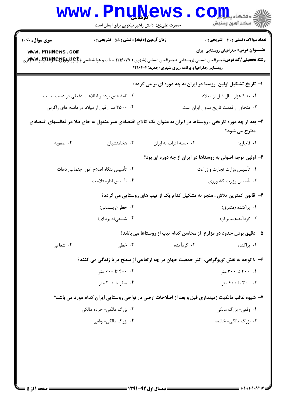|                                            | <b>WWW.PNUNEWS</b><br>حضرت علی(ع): دانش راهبر نیکویی برای ایمان است |                                                                                                                                                                                                              | COHL,<br>رآب مرڪز آزمون وسنڊش                                                               |  |
|--------------------------------------------|---------------------------------------------------------------------|--------------------------------------------------------------------------------------------------------------------------------------------------------------------------------------------------------------|---------------------------------------------------------------------------------------------|--|
| <b>سری سوال :</b> یک ۱<br>www.PnuNews.com  | زمان آزمون (دقیقه) : تستی : 55 آتشریحی : 0                          | <b>رشته تحصیلی/کد درس:</b> جغرافیای انسانی (روستایی )،جغرافیای انسانی (شهری ) ۱۲۱۶۰۷۷ - ،آب و هوا شناسی،ژ <b>تاگو(لوبا§پاپالاپاپات</b> اپو)پراپایتاپانور<br>روستایی،جغرافیا و برنامه ریزی شهری (جدید)۱۲۱۶۴۰۴ | <b>تعداد سوالات : تستی : 30 ٪ تشریحی : 0</b><br><b>عنـــوان درس:</b> جغرافیای روستایی ایران |  |
|                                            |                                                                     | ا- تاریخ تشکیل اولین روستا در ایران به چه دوره ای بر می گردد؟                                                                                                                                                |                                                                                             |  |
| ۰۲ نامشخص بوده و اطلاعات دقیقی در دست نیست |                                                                     |                                                                                                                                                                                                              | ۰۱ به ۹ هزار سال قبل از میلاد                                                               |  |
|                                            | ۰۴ متال قبل از میلاد در دامنه های زاگرس                             |                                                                                                                                                                                                              | ۰۳ متجاوز از قدمت تاریخ مدون ایران است                                                      |  |
|                                            |                                                                     | ۲– بعد از چه دوره تاریخی ، روستاها در ایران به عنوان یک کالای اقتصادی غیر منقول به جای طلا در فعالیتهای اقتصادی                                                                                              | مطرح می شود؟                                                                                |  |
| ۰۴ صفويه                                   | ۰۳ هخامنشیان                                                        | ۰۲ حمله اعراب به ايران                                                                                                                                                                                       | ۰۱ قاجاريه                                                                                  |  |
|                                            |                                                                     | ۳- اولین توجه اصولی به روستاها در ایران از چه دوره ای بود؟                                                                                                                                                   |                                                                                             |  |
|                                            | ۰۲ تأسیس بنگاه اصلاح امور اجتماعی دهات                              |                                                                                                                                                                                                              | ۰۱ تأسیس وزارت تجارت و زراعت                                                                |  |
|                                            | ۰۴ تأسيس اداره فلاحت                                                |                                                                                                                                                                                                              | ۰۳ تأسیس وزارت کشاورزی                                                                      |  |
|                                            |                                                                     | ۴- قانون کمترین تلاش ، منجر به تشکیل کدام یک از تیپ های روستایی می گردد؟                                                                                                                                     |                                                                                             |  |
|                                            | ۰۲ خطی(ریسمانی)                                                     |                                                                                                                                                                                                              | ۰۱ پراکنده (متفرق)                                                                          |  |
|                                            | ۰۴ شعاعی(دایره ای)                                                  |                                                                                                                                                                                                              | ۰۳ گردآمده(متمرکز)                                                                          |  |
|                                            |                                                                     | ۵– دقیق بودن حدود در مزارع ًاز محاسن کدام تیپ از روستاها می باشد؟                                                                                                                                            |                                                                                             |  |
| ۰۴ شعاعی                                   | ۰۳ خطی                                                              | ۰۲ گردآمده                                                                                                                                                                                                   | ۰۱ پراکنده                                                                                  |  |
|                                            |                                                                     | ۶– با توجه به نقش توپوگرافی، اکثر جمعیت جهان در چه ارتفاعی از سطح دریا زندگی می کنند؟                                                                                                                        |                                                                                             |  |
|                                            | ۰۲ تا ۶۰۰ تا ۶۰۰ متر                                                |                                                                                                                                                                                                              | ۰۱ ۲۰۰ تا ۳۰۰ متر                                                                           |  |
|                                            | ۰۴ صفر تا ۲۰۰ متر                                                   |                                                                                                                                                                                                              | ۰۳ تا ۴۰۰ تا ۴۰۰ متر                                                                        |  |
|                                            |                                                                     | ۷– شیوه غالب مالکیت زمینداری قبل و بعد از اصلاحات ارضی در نواحی روستایی ایران کدام مورد می باشد؟                                                                                                             |                                                                                             |  |
|                                            | ۲. بزرگ مالکی- خرده مالکی                                           |                                                                                                                                                                                                              | ۰۱ وقفی- بزرگ مالکی                                                                         |  |
|                                            | ۰۴ بزرگ مالکی- وقفی                                                 |                                                                                                                                                                                                              | ۰۳ بزرگ مالکی- خالصه                                                                        |  |
|                                            |                                                                     |                                                                                                                                                                                                              |                                                                                             |  |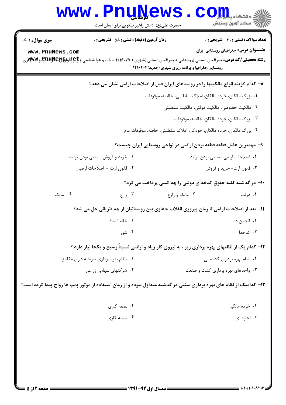|                                 | <b>www.PnuNews</b>                                                                                                                                      |                                                                      | دانشگاه پیام <mark>ب</mark> ر<br>رآب مرکز آزمون وسنجش             |
|---------------------------------|---------------------------------------------------------------------------------------------------------------------------------------------------------|----------------------------------------------------------------------|-------------------------------------------------------------------|
|                                 | حضرت علی(ع): دانش راهبر نیکویی برای ایمان است                                                                                                           |                                                                      |                                                                   |
| <b>سری سوال : ۱ یک</b>          | زمان آزمون (دقیقه) : تستی : 55 آتشریحی : 0                                                                                                              |                                                                      | <b>تعداد سوالات : تستی : 30 ٪ تشریحی : 0</b>                      |
| www.PnuNews.com                 |                                                                                                                                                         |                                                                      | <b>عنـــوان درس:</b> جغرافیای روستایی ایران                       |
|                                 | <b>رشته تحصیلی/کد درس:</b> جغرافیای انسانی (روستایی )،جغرافیای انسانی (شهری ) ۱۲۱۶۰۷۷ - ،آب و هوا شناسی،ژ <b>تاگو(لوبا§پاپالاپاپات</b> اپوپاپوپاپاتوپان | روستایی،جغرافیا و برنامه ریزی شهری (جدید) ۱۲۱۶۴۰۴                    |                                                                   |
|                                 |                                                                                                                                                         |                                                                      |                                                                   |
|                                 | ۸− کدام گزینه انواع مالکیتها را در روستاهای ایران قبل از اصلاحات ارضی نشان می دهد؟                                                                      |                                                                      |                                                                   |
|                                 |                                                                                                                                                         | ۰۱ بزرگ مالکان، خرده مالکان، املاک سلطنتی، خالصه، موقوفات            |                                                                   |
|                                 |                                                                                                                                                         |                                                                      | ۰۲ مالکیت خصوصی، مالکیت دولتی، مالکیت سلطنتی                      |
|                                 |                                                                                                                                                         |                                                                      | ۰۳ بزرگ مالکان، خرده مالکان، خالصه، موقوفات                       |
|                                 |                                                                                                                                                         | ۰۴ بزرگ مالکان، خرده مالکان، خودکار، املاک سلطنتی، خاصه، موقوفات عام |                                                                   |
|                                 |                                                                                                                                                         |                                                                      | ۹– مهمترین عامل قطعه قطعه بودن اراضی در نواحی روستایی ایران چیست؟ |
| ۰۲ خرید و فروش- سنتی بودن تولید |                                                                                                                                                         |                                                                      | ۰۱ اصلاحات ارضی- سنتی بودن تولید                                  |
| ۰۴ قانون ارث - اصلاحات ارضى     |                                                                                                                                                         |                                                                      | ۰۳ قانون ارث- خرید و فروش                                         |
|                                 |                                                                                                                                                         |                                                                      | ∙۱- در گذشته کلیه حقوق کدخدای دولتی را چه کسی پرداخت می کرد؟      |
| ۰۴ مالک                         | $t$ زارع $\cdot$                                                                                                                                        | ۰۲ مالک و زارع                                                       | ۰۱ دولت                                                           |
|                                 | 11– بعد از اصلاحات ارضی تا زمان پیروزی انقلاب ،دعاوی بین روستائیان از چه طریقی حل می شد؟                                                                |                                                                      |                                                                   |
|                                 | ۰۲ خانه انصاف                                                                                                                                           |                                                                      | ۰۱ انجمن ده                                                       |
|                                 | ۰۴ شورا                                                                                                                                                 |                                                                      | ۰۳ کدخدا                                                          |
|                                 | ۱۲- کدام یک از نظامهای بهره برداری زیر ، به نیروی کار زیاد و اراضی نسبتاً وسیع و یکجا نیاز دارد ؟                                                       |                                                                      |                                                                   |
|                                 | ۰۲ نظام بهره برداری سرمایه داری مکانیزه                                                                                                                 |                                                                      | ۰۱ نظام بهره برداری کشتمانی                                       |
|                                 | ۰۴ شرکتهای سهامی زراعی                                                                                                                                  |                                                                      | ۰۳ واحدهای بهره برداری کشت و صنعت                                 |
|                                 | ۱۳- کدامیک از نظام های بهره برداری سنتی در گذشته متداول نبوده و از زمان استفاده از موتور پمپ ها رواج پیدا کرده است؟                                     |                                                                      |                                                                   |
|                                 | ۰۲ نصفه کاری                                                                                                                                            |                                                                      | ۰۱ خرده مالکی                                                     |
|                                 | ۰۴ تلمبه کاری                                                                                                                                           |                                                                      | ۰۳ اجاره ای                                                       |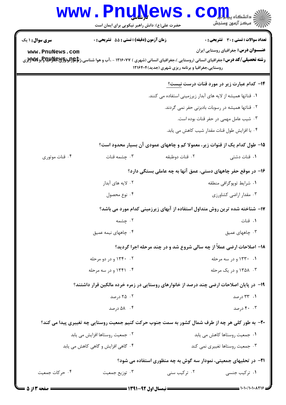## Www.PnuNews.com

| <b>سری سوال :</b> ۱ یک                                        | <b>زمان آزمون (دقیقه) : تستی : 55 تشریحی : 0</b>                                                                                                              |                                                                   | <b>تعداد سوالات : تستی : 30 ٪ تشریحی : 0</b>                                |
|---------------------------------------------------------------|---------------------------------------------------------------------------------------------------------------------------------------------------------------|-------------------------------------------------------------------|-----------------------------------------------------------------------------|
| www.PnuNews.com                                               |                                                                                                                                                               |                                                                   | <b>عنـــوان درس:</b> جغرافیای روستایی ایران                                 |
|                                                               | <b>رشته تحصیلی/کد درس:</b> جغرافیای انسانی (روستایی )،جغرافیای انسانی (شهری ) ۱۲۱۶۰۷۷ - ،آب و هوا شناسی،ژ <b>تاِهِ{توباوَ}لایالیاتاپ</b> [بو <b>]}لاین</b> گر | روستایی،جغرافیا و برنامه ریزی شهری (جدید)1۲۱۶۴۰۴                  |                                                                             |
|                                                               |                                                                                                                                                               |                                                                   | <b>۱۴</b> – کدام عبارت زیر در مورد قنات درست <u>نیست؟</u>                   |
|                                                               |                                                                                                                                                               | ۰۱ قناتها همیشه از لایه های آبدار زیرزمینی استفاده می کنند.       |                                                                             |
|                                                               |                                                                                                                                                               |                                                                   | ۰۲ قناتها همیشه در رسوبات بادبزنی حفر نمی گردند.                            |
|                                                               |                                                                                                                                                               |                                                                   | ۰۳ شیب عامل مهمی در حفر قنات بوده است.                                      |
|                                                               |                                                                                                                                                               |                                                                   | ۰۴ با افزایش طول قنات مقدار شیب کاهش می یابد.                               |
|                                                               |                                                                                                                                                               |                                                                   | ۱۵– طول کدام یک از قنوات زیر، معمولا کم و چاههای عمودی آن بسیار محدود است؟  |
| ۰۴ قنات موتوري                                                | ۰۳ چشمه قنات                                                                                                                                                  | ٢. قنات دوطبقه                                                    | ۰۱ قنات دشتی                                                                |
| ۱۶– در موقع حفر چاههای دستی، عمق آنها به چه عاملی بستگی دارد؟ |                                                                                                                                                               |                                                                   |                                                                             |
|                                                               | ۰۲ لایه های آبدار                                                                                                                                             |                                                                   | ۰۱ شرایط توپوگرافی منطقه                                                    |
|                                                               | ۰۴ نوع محصول                                                                                                                                                  |                                                                   | ۰۳ مقدار اراضی کشاورزی                                                      |
|                                                               |                                                                                                                                                               |                                                                   | ۱۷– شناخته شده ترین روش متداول استفاده از آبهای زیرزمینی کدام مورد می باشد؟ |
|                                                               | ۰۲ چشمه                                                                                                                                                       |                                                                   | ٠١ قنات                                                                     |
|                                                               | ۰۴ چاههای نیمه عمیق                                                                                                                                           |                                                                   | ۰۳ چاههای عمیق                                                              |
|                                                               |                                                                                                                                                               |                                                                   | 18- اصلاحات ارضی عملاً از چه سالی شروع شد و در چند مرحله اجرا گردید؟        |
|                                                               | ۰۲ - ۱۳۴۰ و در دو مرحله                                                                                                                                       |                                                                   | ۰۱ ۱۳۳۰ و در سه مرحله                                                       |
|                                                               | ۰۴ - ۱۳۴۱ و در سه مرحله                                                                                                                                       |                                                                   | ۰۳ ـ ۱۳۵۸ و در یک مرحله                                                     |
|                                                               | ۱۹- در پایان اصلاحات ارضی چند درصد از خانوارهای روستایی در زمره خرده مالکین قرار داشتند؟                                                                      |                                                                   |                                                                             |
|                                                               | ۰۲ درصد                                                                                                                                                       |                                                                   | ۰۱ ۳۳ درصد                                                                  |
|                                                               | ۰۴ - ۵۸ درصد                                                                                                                                                  |                                                                   | ۴۰ . ۴۰ درصد                                                                |
|                                                               | ۲۰- به طور کلی هر چه از طرف شمال کشور به سمت جنوب حرکت کنیم جمعیت روستایی چه تغییری پیدا می کند؟                                                              |                                                                   |                                                                             |
|                                                               | ۰۲ جمعیت روستاها افزایش می یابد                                                                                                                               |                                                                   | ۰۱ جمعیت روستاها کاهش می یابد                                               |
|                                                               | ۰۴ گاهی افزایش و گاهی کاهش می یابد                                                                                                                            |                                                                   | ۰۳ جمعیت روستاها تغییری نمی کند                                             |
|                                                               |                                                                                                                                                               | ۲۱– در تحلیهای جمعیتی، نمودار سه گوش به چه منظوری استفاده می شود؟ |                                                                             |
| ۰۴ حرکات جمعیت                                                | ۰۳ توزیع جمعیت                                                                                                                                                | ۰۲ ترکیب سنی                                                      | ۰۱ ترکیب جنسی                                                               |
| <b>6 صفحه 3 از 5</b> 2                                        | ـــــــــ نیمسال اول 92-1391 ـــــــ                                                                                                                          |                                                                   |                                                                             |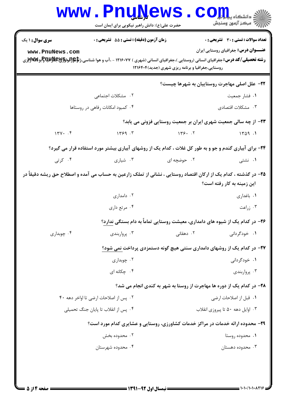|                                           | <b>www.PnuNews</b><br>حضرت علی(ع): دانش راهبر نیکویی برای ایمان است                                              |                                                  | رآ مرڪز آزمون وسنڊش                                                                          |  |
|-------------------------------------------|------------------------------------------------------------------------------------------------------------------|--------------------------------------------------|----------------------------------------------------------------------------------------------|--|
| <b>سری سوال :</b> ۱ یک<br>www.PnuNews.com | <b>زمان آزمون (دقیقه) : تستی : 55 تشریحی : 0</b>                                                                 | روستایی،جغرافیا و برنامه ریزی شهری (جدید)1۲۱۶۴۰۴ | تعداد سوالات : تستى : 30 - تشريحي : 0<br><b>عنـــوان درس:</b> جغرافیای روستایی ایران         |  |
|                                           |                                                                                                                  |                                                  | <b>۲۲</b> - علل اصلی مهاجرت روستاییان به شهرها چیست؟                                         |  |
|                                           | ۰۲ مشکلات اجتما <i>ع</i> ی                                                                                       |                                                  | ٠١ فشار جمعيت                                                                                |  |
|                                           | ۰۴ کمبود امکانات رفاهی در روستاها                                                                                |                                                  | ۰۳ مشکلات اقتصادی                                                                            |  |
|                                           |                                                                                                                  |                                                  | ۲۳- از چه سالی جمعیت شهری ایران بر جمعیت روستایی فزونی می یابد؟                              |  |
| 144.7                                     | 149.7                                                                                                            | 149.7                                            | 1409.1                                                                                       |  |
|                                           | ۲۴- برای آبیاری گندم و جو و به طور کل غلات ، کدام یک از روشهای آبیاری بیشتر مورد استفاده قرار می گیرد؟           |                                                  |                                                                                              |  |
| ۰۴ کرتی                                   | ۰۳ شیاری                                                                                                         | ۰۲ حوضچه ای                                      | ۰۱ نشتی                                                                                      |  |
|                                           | ۲۵– در گذشته ، کدام یک از ارکان اقتصاد روستایی ، نشانی از تملک زارعین به حساب می آمده و اصطلاح حق ریشه دقیقاً در |                                                  | این زمینه به کار رفته است؟                                                                   |  |
|                                           | ۰۲ دامداری                                                                                                       |                                                  | ۰۱ باغداری                                                                                   |  |
|                                           | ۰۴ مرتع داري                                                                                                     |                                                  | ۰۳ زراعت                                                                                     |  |
|                                           |                                                                                                                  |                                                  | <b>۲۶</b> - در کدام یک از شیوه های دامداری، معیشت روستایی تماماً به دام بستگی <u>ندارد</u> ؟ |  |
| ۰۴ چوبداری                                | ۰۳ پروارېندي                                                                                                     | ۰۲ دهقانی                                        | ۰۱ خودگردانی                                                                                 |  |
|                                           |                                                                                                                  |                                                  | ۲۷– در کدام یک از روشهای دامداری سنتی هیچ گونه دستمزدی پرداخت نمی شود؟                       |  |
|                                           | ۰۲ چوبداری                                                                                                       |                                                  | ۰۱ خودگردانی                                                                                 |  |
|                                           | ۰۴ چکانه ای                                                                                                      |                                                  | ۰۳ پرواربندی                                                                                 |  |
|                                           |                                                                                                                  |                                                  | <b>۲۸-</b> در کدام یک از دوره ها مهاجرت از روستا به شهر به کندی انجام می شد؟                 |  |
| ۰۲ پس از اصلاحات ارضی تا اواخر دهه ۴۰     |                                                                                                                  |                                                  | ۰۱ قبل از اصلاحات ارضی                                                                       |  |
| ۰۴ پس از انقلاب تا پایان جنگ تحمیلی       |                                                                                                                  |                                                  | ۰۳ اوایل دهه ۵۰ تا پیروزی انقلاب                                                             |  |
|                                           | ۲۹- محدوده ارائه خدمات در مراکز خدمات کشاورزی، روستایی و عشایری کدام مورد است؟                                   |                                                  |                                                                                              |  |
|                                           | ۰۲ محدوده بخش                                                                                                    |                                                  | ۰۱ محدوده روستا                                                                              |  |
|                                           | ۰۴ محدوده شهرستان                                                                                                |                                                  | ۰۳ محدوده دهستان                                                                             |  |
|                                           |                                                                                                                  |                                                  |                                                                                              |  |